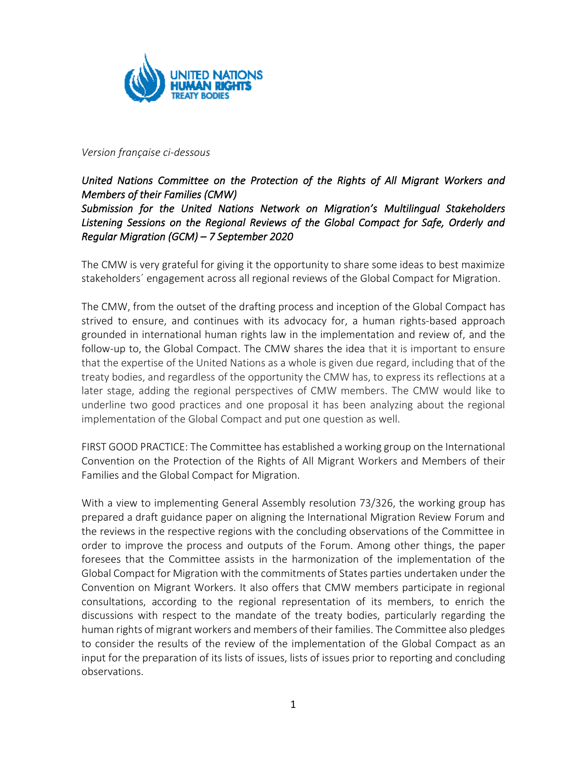

#### *Version française ci-dessous*

# *United Nations Committee on the Protection of the Rights of All Migrant Workers and Members of their Families (CMW)*

#### *Submission for the United Nations Network on Migration's Multilingual Stakeholders Listening Sessions on the Regional Reviews of the Global Compact for Safe, Orderly and Regular Migration (GCM) – 7 September 2020*

The CMW is very grateful for giving it the opportunity to share some ideas to best maximize stakeholders´ engagement across all regional reviews of the Global Compact for Migration.

The CMW, from the outset of the drafting process and inception of the Global Compact has strived to ensure, and continues with its advocacy for, a human rights-based approach grounded in international human rights law in the implementation and review of, and the follow-up to, the Global Compact. The CMW shares the idea that it is important to ensure that the expertise of the United Nations as a whole is given due regard, including that of the treaty bodies, and regardless of the opportunity the CMW has, to express its reflections at a later stage, adding the regional perspectives of CMW members. The CMW would like to underline two good practices and one proposal it has been analyzing about the regional implementation of the Global Compact and put one question as well.

FIRST GOOD PRACTICE: The Committee has established a working group on the International Convention on the Protection of the Rights of All Migrant Workers and Members of their Families and the Global Compact for Migration.

With a view to implementing General Assembly resolution 73/326, the working group has prepared a draft guidance paper on aligning the International Migration Review Forum and the reviews in the respective regions with the concluding observations of the Committee in order to improve the process and outputs of the Forum. Among other things, the paper foresees that the Committee assists in the harmonization of the implementation of the Global Compact for Migration with the commitments of States parties undertaken under the Convention on Migrant Workers. It also offers that CMW members participate in regional consultations, according to the regional representation of its members, to enrich the discussions with respect to the mandate of the treaty bodies, particularly regarding the human rights of migrant workers and members of their families. The Committee also pledges to consider the results of the review of the implementation of the Global Compact as an input for the preparation of its lists of issues, lists of issues prior to reporting and concluding observations.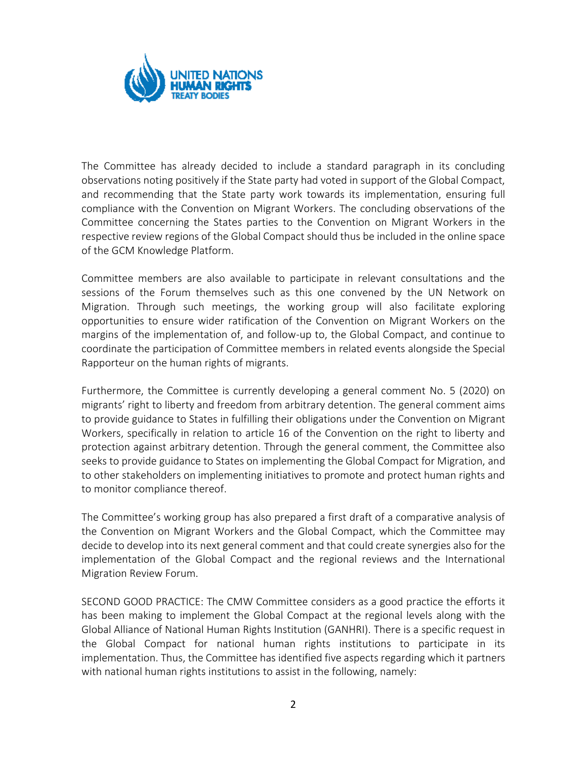

The Committee has already decided to include a standard paragraph in its concluding observations noting positively if the State party had voted in support of the Global Compact, and recommending that the State party work towards its implementation, ensuring full compliance with the Convention on Migrant Workers. The concluding observations of the Committee concerning the States parties to the Convention on Migrant Workers in the respective review regions of the Global Compact should thus be included in the online space of the GCM Knowledge Platform.

Committee members are also available to participate in relevant consultations and the sessions of the Forum themselves such as this one convened by the UN Network on Migration. Through such meetings, the working group will also facilitate exploring opportunities to ensure wider ratification of the Convention on Migrant Workers on the margins of the implementation of, and follow-up to, the Global Compact, and continue to coordinate the participation of Committee members in related events alongside the Special Rapporteur on the human rights of migrants.

Furthermore, the Committee is currently developing a general comment No. 5 (2020) on migrants' right to liberty and freedom from arbitrary detention. The general comment aims to provide guidance to States in fulfilling their obligations under the Convention on Migrant Workers, specifically in relation to article 16 of the Convention on the right to liberty and protection against arbitrary detention. Through the general comment, the Committee also seeks to provide guidance to States on implementing the Global Compact for Migration, and to other stakeholders on implementing initiatives to promote and protect human rights and to monitor compliance thereof.

The Committee's working group has also prepared a first draft of a comparative analysis of the Convention on Migrant Workers and the Global Compact, which the Committee may decide to develop into its next general comment and that could create synergies also for the implementation of the Global Compact and the regional reviews and the International Migration Review Forum.

SECOND GOOD PRACTICE: The CMW Committee considers as a good practice the efforts it has been making to implement the Global Compact at the regional levels along with the Global Alliance of National Human Rights Institution (GANHRI). There is a specific request in the Global Compact for national human rights institutions to participate in its implementation. Thus, the Committee has identified five aspects regarding which it partners with national human rights institutions to assist in the following, namely: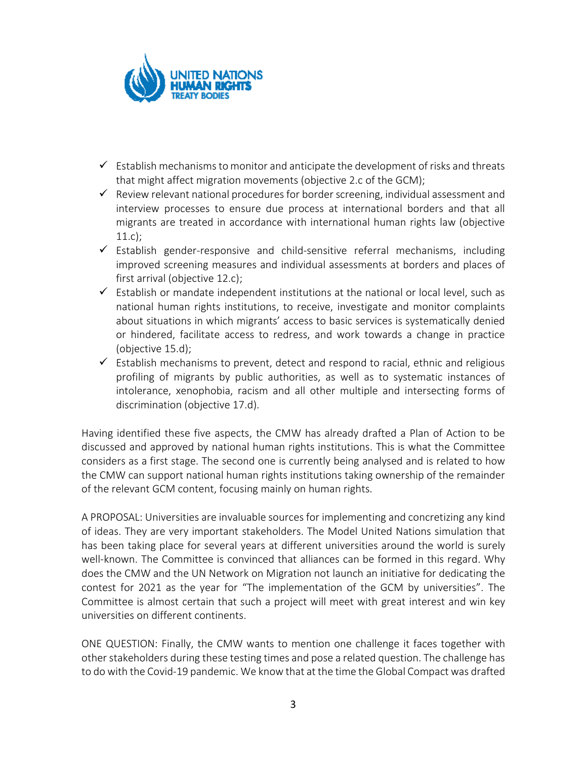

- $\checkmark$  Establish mechanisms to monitor and anticipate the development of risks and threats that might affect migration movements (objective 2.c of the GCM);
- $\checkmark$  Review relevant national procedures for border screening, individual assessment and interview processes to ensure due process at international borders and that all migrants are treated in accordance with international human rights law (objective 11.c);
- $\checkmark$  Establish gender-responsive and child-sensitive referral mechanisms, including improved screening measures and individual assessments at borders and places of first arrival (objective 12.c);
- $\checkmark$  Establish or mandate independent institutions at the national or local level, such as national human rights institutions, to receive, investigate and monitor complaints about situations in which migrants' access to basic services is systematically denied or hindered, facilitate access to redress, and work towards a change in practice (objective 15.d);
- $\checkmark$  Establish mechanisms to prevent, detect and respond to racial, ethnic and religious profiling of migrants by public authorities, as well as to systematic instances of intolerance, xenophobia, racism and all other multiple and intersecting forms of discrimination (objective 17.d).

Having identified these five aspects, the CMW has already drafted a Plan of Action to be discussed and approved by national human rights institutions. This is what the Committee considers as a first stage. The second one is currently being analysed and is related to how the CMW can support national human rights institutions taking ownership of the remainder of the relevant GCM content, focusing mainly on human rights.

A PROPOSAL: Universities are invaluable sources for implementing and concretizing any kind of ideas. They are very important stakeholders. The Model United Nations simulation that has been taking place for several years at different universities around the world is surely well-known. The Committee is convinced that alliances can be formed in this regard. Why does the CMW and the UN Network on Migration not launch an initiative for dedicating the contest for 2021 as the year for "The implementation of the GCM by universities". The Committee is almost certain that such a project will meet with great interest and win key universities on different continents.

ONE QUESTION: Finally, the CMW wants to mention one challenge it faces together with other stakeholders during these testing times and pose a related question. The challenge has to do with the Covid-19 pandemic. We know that at the time the Global Compact was drafted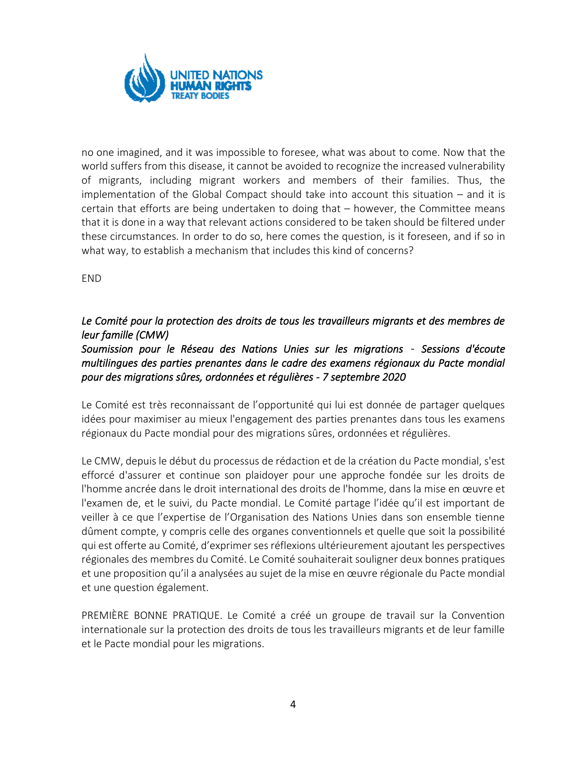

no one imagined, and it was impossible to foresee, what was about to come. Now that the world suffers from this disease, it cannot be avoided to recognize the increased vulnerability of migrants, including migrant workers and members of their families. Thus, the implementation of the Global Compact should take into account this situation – and it is certain that efforts are being undertaken to doing that – however, the Committee means that it is done in a way that relevant actions considered to be taken should be filtered under these circumstances. In order to do so, here comes the question, is it foreseen, and if so in what way, to establish a mechanism that includes this kind of concerns?

END

### *Le Comité pour la protection des droits de tous les travailleurs migrants et des membres de leur famille (CMW)*

## *Soumission pour le Réseau des Nations Unies sur les migrations* - *Sessions d'écoute multilingues des parties prenantes dans le cadre des examens régionaux du Pacte mondial pour des migrations sûres, ordonnées et régulières - 7 septembre 2020*

Le Comité est très reconnaissant de l'opportunité qui lui est donnée de partager quelques idées pour maximiser au mieux l'engagement des parties prenantes dans tous les examens régionaux du Pacte mondial pour des migrations sûres, ordonnées et régulières.

Le CMW, depuis le début du processus de rédaction et de la création du Pacte mondial, s'est efforcé d'assurer et continue son plaidoyer pour une approche fondée sur les droits de l'homme ancrée dans le droit international des droits de l'homme, dans la mise en œuvre et l'examen de, et le suivi, du Pacte mondial. Le Comité partage l'idée qu'il est important de veiller à ce que l'expertise de l'Organisation des Nations Unies dans son ensemble tienne dûment compte, y compris celle des organes conventionnels et quelle que soit la possibilité qui est offerte au Comité, d'exprimer ses réflexions ultérieurement ajoutant les perspectives régionales des membres du Comité. Le Comité souhaiterait souligner deux bonnes pratiques et une proposition qu'il a analysées au sujet de la mise en œuvre régionale du Pacte mondial et une question également.

PREMIÈRE BONNE PRATIQUE. Le Comité a créé un groupe de travail sur la Convention internationale sur la protection des droits de tous les travailleurs migrants et de leur famille et le Pacte mondial pour les migrations.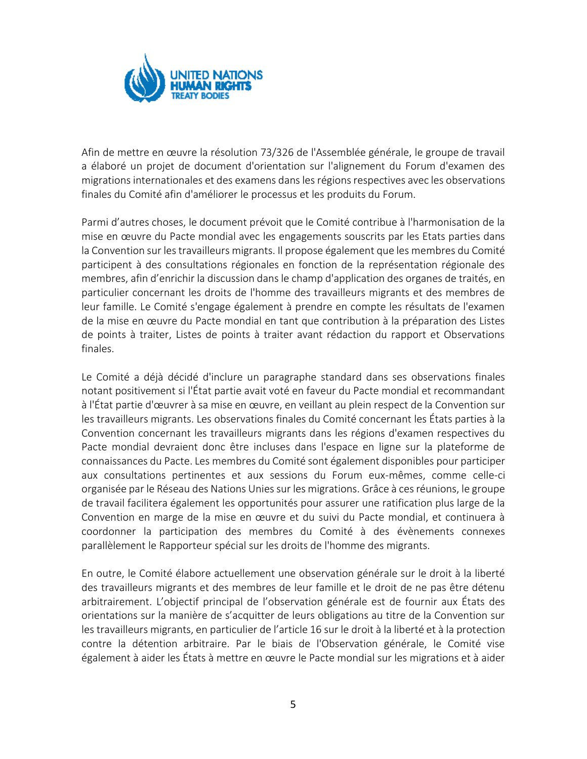

Afin de mettre en œuvre la résolution 73/326 de l'Assemblée générale, le groupe de travail a élaboré un projet de document d'orientation sur l'alignement du Forum d'examen des migrations internationales et des examens dans les régions respectives avec les observations finales du Comité afin d'améliorer le processus et les produits du Forum.

Parmi d'autres choses, le document prévoit que le Comité contribue à l'harmonisation de la mise en œuvre du Pacte mondial avec les engagements souscrits par les Etats parties dans la Convention sur les travailleurs migrants. Il propose également que les membres du Comité participent à des consultations régionales en fonction de la représentation régionale des membres, afin d'enrichir la discussion dans le champ d'application des organes de traités, en particulier concernant les droits de l'homme des travailleurs migrants et des membres de leur famille. Le Comité s'engage également à prendre en compte les résultats de l'examen de la mise en œuvre du Pacte mondial en tant que contribution à la préparation des Listes de points à traiter, Listes de points à traiter avant rédaction du rapport et Observations finales.

Le Comité a déjà décidé d'inclure un paragraphe standard dans ses observations finales notant positivement si l'État partie avait voté en faveur du Pacte mondial et recommandant à l'État partie d'œuvrer à sa mise en œuvre, en veillant au plein respect de la Convention sur les travailleurs migrants. Les observations finales du Comité concernant les États parties à la Convention concernant les travailleurs migrants dans les régions d'examen respectives du Pacte mondial devraient donc être incluses dans l'espace en ligne sur la plateforme de connaissances du Pacte. Les membres du Comité sont également disponibles pour participer aux consultations pertinentes et aux sessions du Forum eux-mêmes, comme celle-ci organisée par le Réseau des Nations Unies sur les migrations. Grâce à ces réunions, le groupe de travail facilitera également les opportunités pour assurer une ratification plus large de la Convention en marge de la mise en œuvre et du suivi du Pacte mondial, et continuera à coordonner la participation des membres du Comité à des évènements connexes parallèlement le Rapporteur spécial sur les droits de l'homme des migrants.

En outre, le Comité élabore actuellement une observation générale sur le droit à la liberté des travailleurs migrants et des membres de leur famille et le droit de ne pas être détenu arbitrairement. L'objectif principal de l'observation générale est de fournir aux États des orientations sur la manière de s'acquitter de leurs obligations au titre de la Convention sur les travailleurs migrants, en particulier de l'article 16 sur le droit à la liberté et à la protection contre la détention arbitraire. Par le biais de l'Observation générale, le Comité vise également à aider les États à mettre en œuvre le Pacte mondial sur les migrations et à aider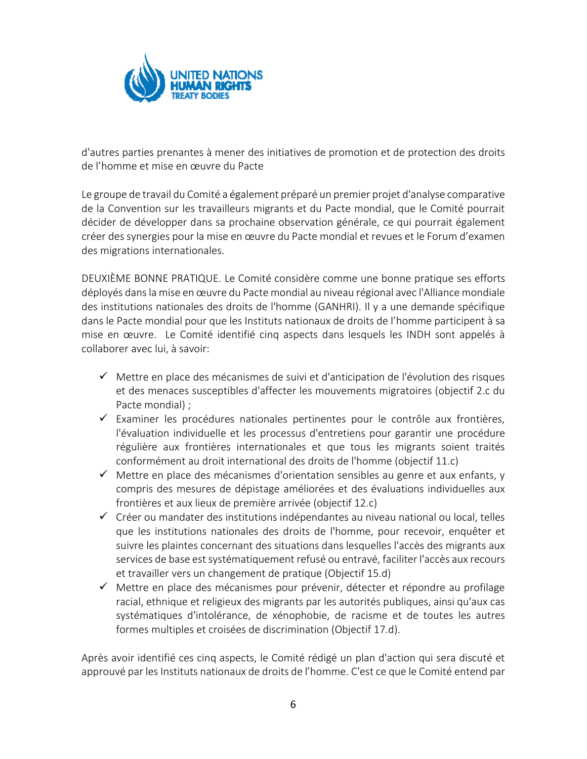

d'autres parties prenantes à mener des initiatives de promotion et de protection des droits de l'homme et mise en œuvre du Pacte

Le groupe de travail du Comité a également préparé un premier projet d'analyse comparative de la Convention sur les travailleurs migrants et du Pacte mondial, que le Comité pourrait décider de développer dans sa prochaine observation générale, ce qui pourrait également créer des synergies pour la mise en œuvre du Pacte mondial et revues et le Forum d'examen des migrations internationales.

DEUXIÈME BONNE PRATIQUE. Le Comité considère comme une bonne pratique ses efforts déployés dans la mise en œuvre du Pacte mondial au niveau régional avec l'Alliance mondiale des institutions nationales des droits de l'homme (GANHRI). Il y a une demande spécifique dans le Pacte mondial pour que les Instituts nationaux de droits de l'homme participent à sa mise en œuvre. Le Comité identifié cinq aspects dans lesquels les INDH sont appelés à collaborer avec lui, à savoir:

- ✓ Mettre en place des mécanismes de suivi et d'anticipation de l'évolution des risques et des menaces susceptibles d'affecter les mouvements migratoires (objectif 2.c du Pacte mondial) ;
- ✓ Examiner les procédures nationales pertinentes pour le contrôle aux frontières, l'évaluation individuelle et les processus d'entretiens pour garantir une procédure régulière aux frontières internationales et que tous les migrants soient traités conformément au droit international des droits de l'homme (objectif 11.c)
- $\checkmark$  Mettre en place des mécanismes d'orientation sensibles au genre et aux enfants, y compris des mesures de dépistage améliorées et des évaluations individuelles aux frontières et aux lieux de première arrivée (objectif 12.c)
- $\checkmark$  Créer ou mandater des institutions indépendantes au niveau national ou local, telles que les institutions nationales des droits de l'homme, pour recevoir, enquêter et suivre les plaintes concernant des situations dans lesquelles l'accès des migrants aux services de base est systématiquement refusé ou entravé, faciliter l'accès aux recours et travailler vers un changement de pratique (Objectif 15.d)
- ✓ Mettre en place des mécanismes pour prévenir, détecter et répondre au profilage racial, ethnique et religieux des migrants par les autorités publiques, ainsi qu'aux cas systématiques d'intolérance, de xénophobie, de racisme et de toutes les autres formes multiples et croisées de discrimination (Objectif 17.d).

Après avoir identifié ces cinq aspects, le Comité rédigé un plan d'action qui sera discuté et approuvé par les Instituts nationaux de droits de l'homme. C'est ce que le Comité entend par